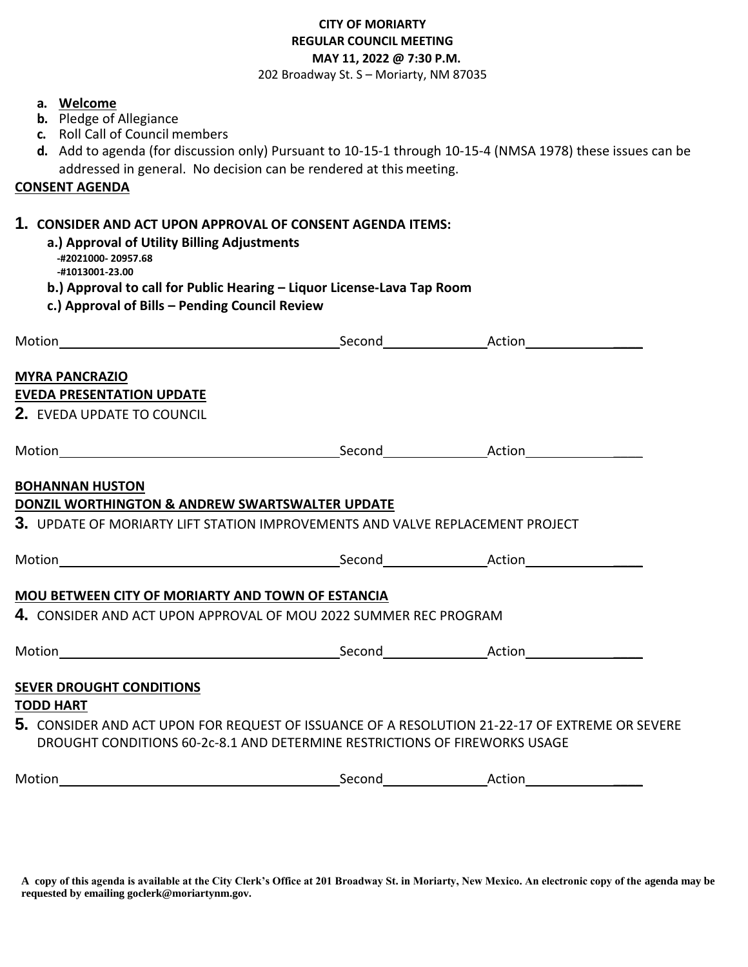## **CITY OF MORIARTY REGULAR COUNCIL MEETING MAY 11, 2022 @ 7:30 P.M.**

202 Broadway St. S – Moriarty, NM 87035

| a. Welcome<br><b>b.</b> Pledge of Allegiance<br>c. Roll Call of Council members<br>addressed in general. No decision can be rendered at this meeting.<br><u>CONSENT AGENDA</u>                                                                                                 | d. Add to agenda (for discussion only) Pursuant to 10-15-1 through 10-15-4 (NMSA 1978) these issues can be |
|--------------------------------------------------------------------------------------------------------------------------------------------------------------------------------------------------------------------------------------------------------------------------------|------------------------------------------------------------------------------------------------------------|
| 1. CONSIDER AND ACT UPON APPROVAL OF CONSENT AGENDA ITEMS:<br>a.) Approval of Utility Billing Adjustments<br>-#2021000-20957.68<br>-#1013001-23.00<br>b.) Approval to call for Public Hearing - Liquor License-Lava Tap Room<br>c.) Approval of Bills - Pending Council Review |                                                                                                            |
|                                                                                                                                                                                                                                                                                |                                                                                                            |
| <b>MYRA PANCRAZIO</b><br><b>EVEDA PRESENTATION UPDATE</b><br>2. EVEDA UPDATE TO COUNCIL                                                                                                                                                                                        |                                                                                                            |
|                                                                                                                                                                                                                                                                                |                                                                                                            |
| <b>BOHANNAN HUSTON</b>                                                                                                                                                                                                                                                         |                                                                                                            |
| DONZIL WORTHINGTON & ANDREW SWARTSWALTER UPDATE<br>${\bf 3.}\;$ update of moriarty lift station improvements and valve replacement project                                                                                                                                     |                                                                                                            |
|                                                                                                                                                                                                                                                                                |                                                                                                            |
|                                                                                                                                                                                                                                                                                |                                                                                                            |
| <b>MOU BETWEEN CITY OF MORIARTY AND TOWN OF ESTANCIA</b>                                                                                                                                                                                                                       |                                                                                                            |
| $\boldsymbol{4}.~$ CONSIDER AND ACT UPON APPROVAL OF MOU 2022 SUMMER REC PROGRAM                                                                                                                                                                                               |                                                                                                            |
|                                                                                                                                                                                                                                                                                |                                                                                                            |
| <b>SEVER DROUGHT CONDITIONS</b>                                                                                                                                                                                                                                                |                                                                                                            |
| TODD HART                                                                                                                                                                                                                                                                      |                                                                                                            |
| $5.$ CONSIDER AND ACT UPON FOR REQUEST OF ISSUANCE OF A RESOLUTION 21-22-17 OF EXTREME OR SEVERE<br>DROUGHT CONDITIONS 60-2c-8.1 AND DETERMINE RESTRICTIONS OF FIREWORKS USAGE                                                                                                 |                                                                                                            |
|                                                                                                                                                                                                                                                                                |                                                                                                            |
|                                                                                                                                                                                                                                                                                |                                                                                                            |

**A copy of this agenda is available at the City Clerk's Office at 201 Broadway St. in Moriarty, New Mexico. An electronic copy of the agenda may be requested by emailing goclerk@moriartynm.gov.**